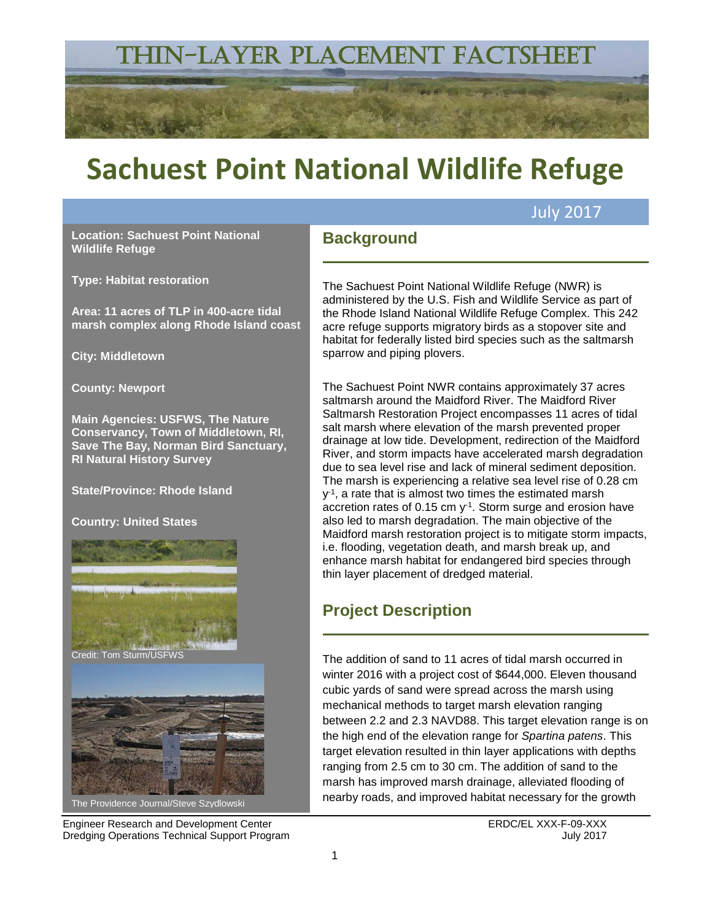## THIN-LAYER PLACEMENT FACTSHEET

# **Sachuest Point National Wildlife Refuge**

**Background**

**Location: Sachuest Point National Wildlife Refuge**

**Type: Habitat restoration**

**Area: 11 acres of TLP in 400-acre tidal marsh complex along Rhode Island coast**

**City: Middletown**

**County: Newport** 

**Main Agencies: USFWS, The Nature Conservancy, Town of Middletown, RI, Save The Bay, Norman Bird Sanctuary, RI Natural History Survey** 

**State/Province: Rhode Island**

**Country: United States**



Engineer Research and Development Center **ERDC/EL XXX-F-09-XXX** Dredging Operations Technical Support Program July 2017

The Sachuest Point National Wildlife Refuge (NWR) is administered by the U.S. Fish and Wildlife Service as part of the Rhode Island National Wildlife Refuge Complex. This 242 acre refuge supports migratory birds as a stopover site and habitat for federally listed bird species such as the saltmarsh sparrow and piping plovers.

July 2017

The Sachuest Point NWR contains approximately 37 acres saltmarsh around the Maidford River. The Maidford River Saltmarsh Restoration Project encompasses 11 acres of tidal salt marsh where elevation of the marsh prevented proper drainage at low tide. Development, redirection of the Maidford River, and storm impacts have accelerated marsh degradation due to sea level rise and lack of mineral sediment deposition. The marsh is experiencing a relative sea level rise of 0.28 cm  $y<sup>-1</sup>$ , a rate that is almost two times the estimated marsh accretion rates of  $0.15$  cm  $y^{-1}$ . Storm surge and erosion have also led to marsh degradation. The main objective of the Maidford marsh restoration project is to mitigate storm impacts, i.e. flooding, vegetation death, and marsh break up, and enhance marsh habitat for endangered bird species through thin layer placement of dredged material.

## **Project Description**

The addition of sand to 11 acres of tidal marsh occurred in winter 2016 with a project cost of \$644,000. Eleven thousand cubic yards of sand were spread across the marsh using mechanical methods to target marsh elevation ranging between 2.2 and 2.3 NAVD88. This target elevation range is on the high end of the elevation range for *Spartina patens*. This target elevation resulted in thin layer applications with depths ranging from 2.5 cm to 30 cm. The addition of sand to the marsh has improved marsh drainage, alleviated flooding of nearby roads, and improved habitat necessary for the growth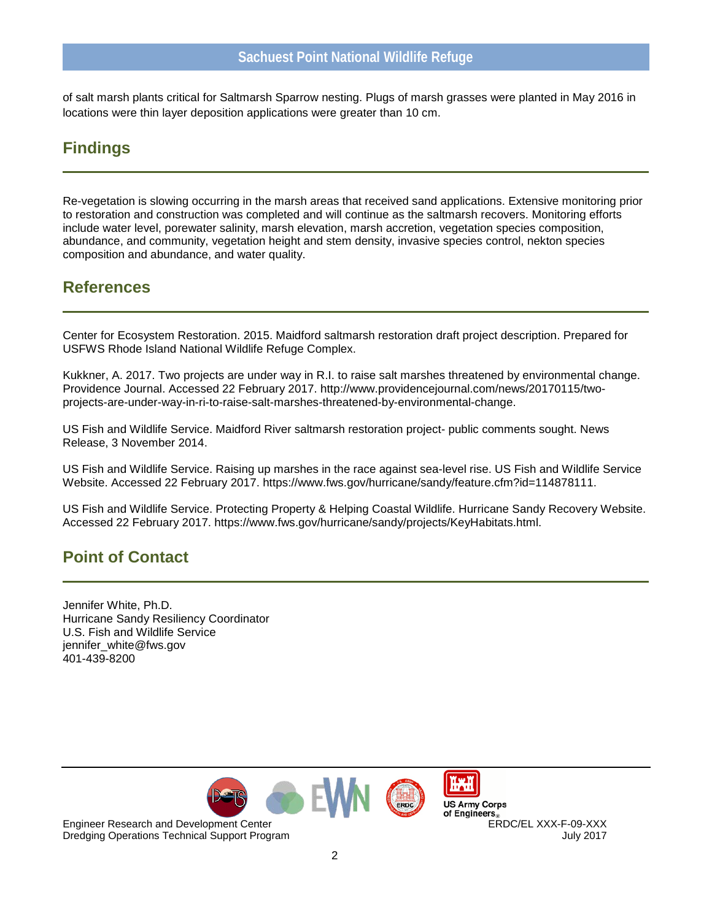of salt marsh plants critical for Saltmarsh Sparrow nesting. Plugs of marsh grasses were planted in May 2016 in locations were thin layer deposition applications were greater than 10 cm.

#### **Findings**

Re-vegetation is slowing occurring in the marsh areas that received sand applications. Extensive monitoring prior to restoration and construction was completed and will continue as the saltmarsh recovers. Monitoring efforts include water level, porewater salinity, marsh elevation, marsh accretion, vegetation species composition, abundance, and community, vegetation height and stem density, invasive species control, nekton species composition and abundance, and water quality.

#### **References**

Center for Ecosystem Restoration. 2015. Maidford saltmarsh restoration draft project description. Prepared for USFWS Rhode Island National Wildlife Refuge Complex.

Kukkner, A. 2017. Two projects are under way in R.I. to raise salt marshes threatened by environmental change. Providence Journal. Accessed 22 February 2017. http://www.providencejournal.com/news/20170115/twoprojects-are-under-way-in-ri-to-raise-salt-marshes-threatened-by-environmental-change.

US Fish and Wildlife Service. Maidford River saltmarsh restoration project- public comments sought. News Release, 3 November 2014.

US Fish and Wildlife Service. Raising up marshes in the race against sea-level rise. US Fish and Wildlife Service Website. Accessed 22 February 2017. https://www.fws.gov/hurricane/sandy/feature.cfm?id=114878111.

US Fish and Wildlife Service. Protecting Property & Helping Coastal Wildlife. Hurricane Sandy Recovery Website. Accessed 22 February 2017. https://www.fws.gov/hurricane/sandy/projects/KeyHabitats.html.

## **Point of Contact**

Jennifer White, Ph.D. Hurricane Sandy Resiliency Coordinator U.S. Fish and Wildlife Service jennifer\_white@fws.gov 401-439-8200



**US Army Corps** Engineer Research and Development Center ERDC/EL XXX-F-09-XXX

Dredging Operations Technical Support Program July 2017